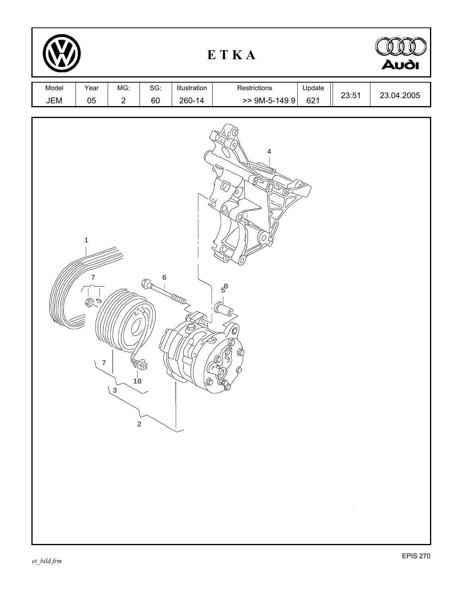| ETKA         |                                     |                                |                                          |                        |                                                         | <b>Audi</b>   |       |            |
|--------------|-------------------------------------|--------------------------------|------------------------------------------|------------------------|---------------------------------------------------------|---------------|-------|------------|
| Model<br>JEM | Year<br>$05\,$                      | MG:<br>$\overline{2}$          | SG:<br>60                                | Illustration<br>260-14 | Restrictions<br>$> 9M-5-1499$                           | Update<br>621 | 23:51 | 23.04.2005 |
|              | $\mathbf 1$<br>7<br>≪<br>$\sqrt{ }$ | $1^{\prime}$<br>$\binom{3}{ }$ | 6<br>$\mathbb{G}$<br>فشطاب<br>$\sqrt{2}$ | ₹<br><b>RADOS</b>      | 4<br>10)<br>Q<br>'Ol<br>$5^0$<br>O<br>Œ<br>Ø<br>Ø<br>Ø) |               |       |            |